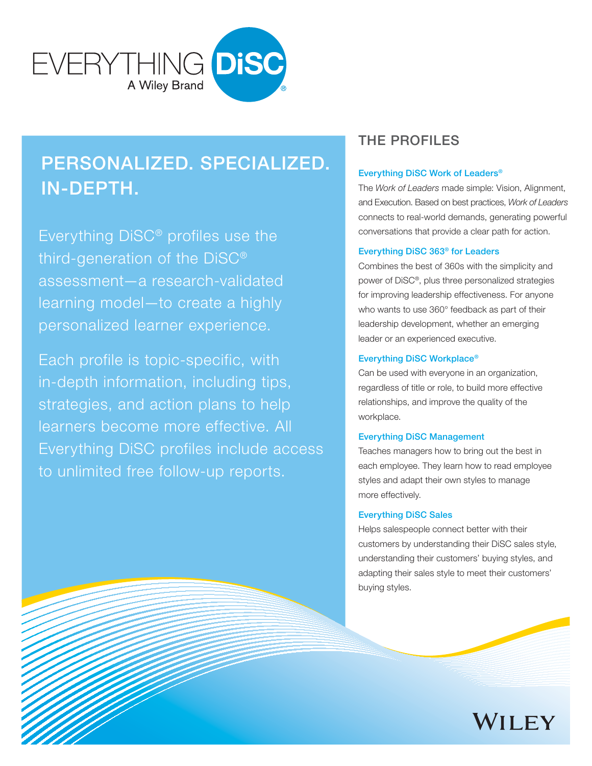

# Personalized. Specialized. In-Depth.

Everything DiSC® profiles use the third-generation of the DiSC® assessment—a research-validated learning model—to create a highly personalized learner experience.

Each profile is topic-specific, with in-depth information, including tips, strategies, and action plans to help learners become more effective. All Everything DiSC profiles include access to unlimited free follow-up reports.

# The Profiles

### Everything DiSC Work of Leaders®

The *Work of Leaders* made simple: Vision, Alignment, and Execution. Based on best practices, *Work of Leaders* connects to real-world demands, generating powerful conversations that provide a clear path for action.

### Everything DiSC 363® for Leaders

Combines the best of 360s with the simplicity and power of DiSC®, plus three personalized strategies for improving leadership effectiveness. For anyone who wants to use 360° feedback as part of their leadership development, whether an emerging leader or an experienced executive.

### Everything DiSC Workplace®

Can be used with everyone in an organization, regardless of title or role, to build more effective relationships, and improve the quality of the workplace.

#### Everything DiSC Management

Teaches managers how to bring out the best in each employee. They learn how to read employee styles and adapt their own styles to manage more effectively.

### Everything DiSC Sales

Helps salespeople connect better with their customers by understanding their DiSC sales style, understanding their customers' buying styles, and adapting their sales style to meet their customers' buying styles.